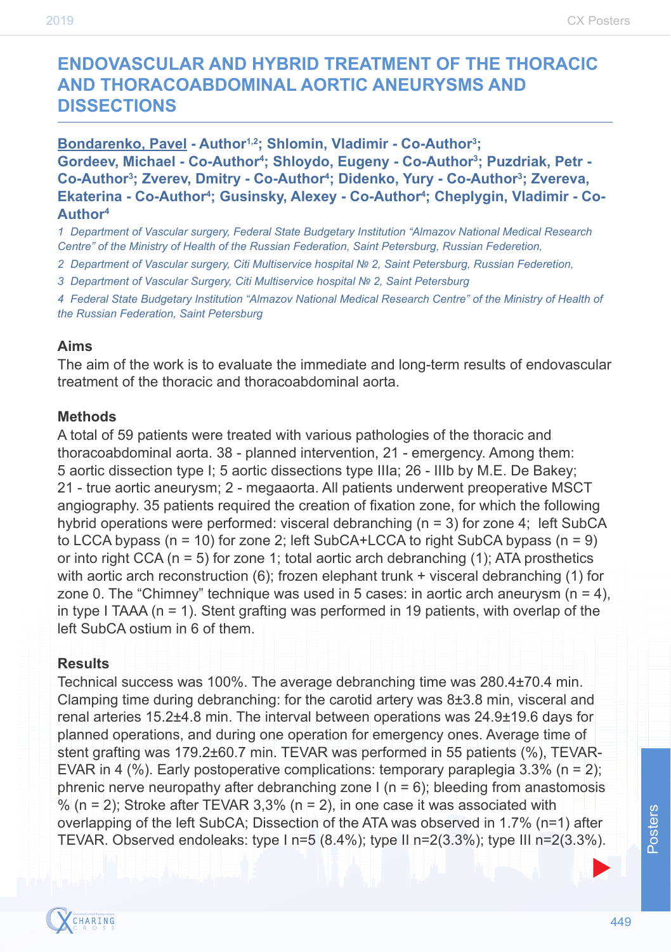# **ENDOVASCULAR AND HYBRID TREATMENT OF THE THORACIC AND THORACOABDOMINAL AORTIC ANEURYSMS AND DISSECTIONS**

**Bondarenko, Pavel - Author1,2; Shlomin, Vladimir - Co-Author3 ; Gordeev, Michael - Co-Author4 ; Shloydo, Eugeny - Co-Author3 ; Puzdriak, Petr -**  Co-Author<sup>3</sup>; Zverev, Dmitry - Co-Author<sup>4</sup>; Didenko, Yury - Co-Author<sup>3</sup>; Zvereva, Ekaterina - Co-Author<sup>4</sup>; Gusinsky, Alexey - Co-Author<sup>4</sup>; Cheplygin, Vladimir - Co-**Author4**

*1 Department of Vascular surgery, Federal State Budgetary Institution "Almazov National Medical Research Centre" of the Ministry of Health of the Russian Federation, Saint Petersburg, Russian Federetion,* 

*2 Department of Vascular surgery, Citi Multiservice hospital № 2, Saint Petersburg, Russian Federetion,* 

*3 Department of Vascular Surgery, Citi Multiservice hospital № 2, Saint Petersburg*

*4 Federal State Budgetary Institution "Almazov National Medical Research Centre" of the Ministry of Health of the Russian Federation, Saint Petersburg*

#### **Aims**

The aim of the work is to evaluate the immediate and long-term results of endovascular treatment of the thoracic and thoracoabdominal aorta.

#### **Methods**

A total of 59 patients were treated with various pathologies of the thoracic and thoracoabdominal aorta. 38 - planned intervention, 21 - emergency. Among them: 5 aortic dissection type I; 5 aortic dissections type IIIa; 26 - IIIb by M.E. De Bakey; 21 - true aortic aneurysm; 2 - megaaorta. All patients underwent preoperative MSCT angiography. 35 patients required the creation of fixation zone, for which the following hybrid operations were performed: visceral debranching (n = 3) for zone 4; left SubCA to LCCA bypass ( $n = 10$ ) for zone 2; left SubCA+LCCA to right SubCA bypass ( $n = 9$ ) or into right CCA ( $n = 5$ ) for zone 1; total aortic arch debranching (1); ATA prosthetics with aortic arch reconstruction (6); frozen elephant trunk + visceral debranching (1) for zone 0. The "Chimney" technique was used in 5 cases: in aortic arch aneurysm  $(n = 4)$ , in type I TAAA ( $n = 1$ ). Stent grafting was performed in 19 patients, with overlap of the left SubCA ostium in 6 of them.

### **Results**

Technical success was 100%. The average debranching time was 280.4±70.4 min. Clamping time during debranching: for the carotid artery was  $8\pm3.8$  min, visceral and renal arteries 15.2±4.8 min. The interval between operations was 24.9±19.6 days for planned operations, and during one operation for emergency ones. Average time of stent grafting was 179.2±60.7 min. TEVAR was performed in 55 patients (%), TEVAR-EVAR in 4 (%). Early postoperative complications: temporary paraplegia 3.3% (n = 2); phrenic nerve neuropathy after debranching zone  $I(n = 6)$ ; bleeding from anastomosis  $% (n = 2)$ ; Stroke after TEVAR 3.3% ( $n = 2$ ), in one case it was associated with overlapping of the left SubCA; Dissection of the ATA was observed in 1.7% (n=1) after TEVAR. Observed endoleaks: type  $\ln$  = 5 (8.4%); type  $\ln$  n=2(3.3%); type III n=2(3.3%).



 $\blacktriangleright$